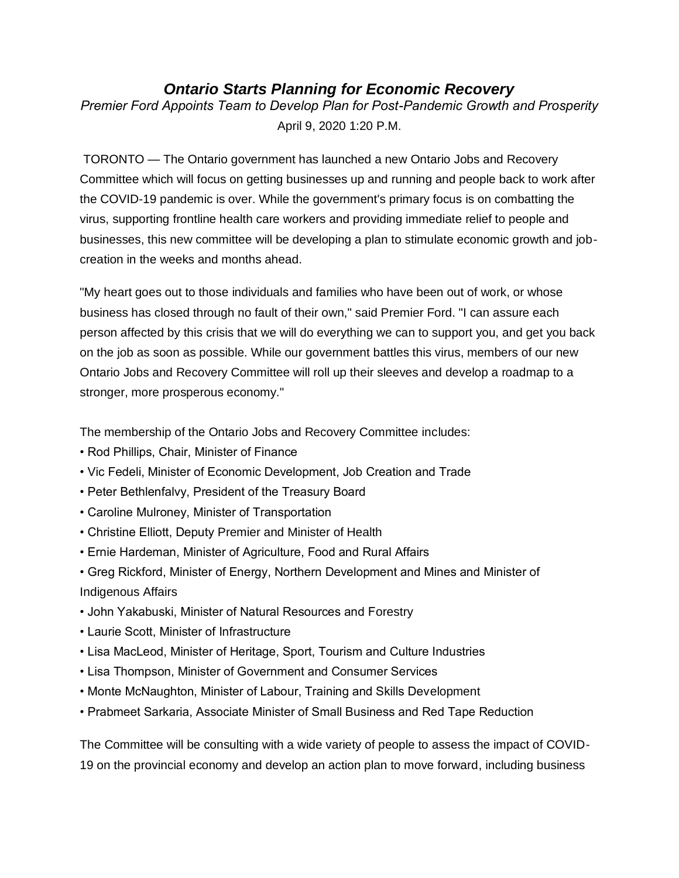# *Ontario Starts Planning for Economic Recovery*

*Premier Ford Appoints Team to Develop Plan for Post-Pandemic Growth and Prosperity* April 9, 2020 1:20 P.M.

TORONTO — The Ontario government has launched a new Ontario Jobs and Recovery Committee which will focus on getting businesses up and running and people back to work after the COVID-19 pandemic is over. While the government's primary focus is on combatting the virus, supporting frontline health care workers and providing immediate relief to people and businesses, this new committee will be developing a plan to stimulate economic growth and jobcreation in the weeks and months ahead.

"My heart goes out to those individuals and families who have been out of work, or whose business has closed through no fault of their own," said Premier Ford. "I can assure each person affected by this crisis that we will do everything we can to support you, and get you back on the job as soon as possible. While our government battles this virus, members of our new Ontario Jobs and Recovery Committee will roll up their sleeves and develop a roadmap to a stronger, more prosperous economy."

The membership of the Ontario Jobs and Recovery Committee includes:

- Rod Phillips, Chair, Minister of Finance
- Vic Fedeli, Minister of Economic Development, Job Creation and Trade
- Peter Bethlenfalvy, President of the Treasury Board
- Caroline Mulroney, Minister of Transportation
- Christine Elliott, Deputy Premier and Minister of Health
- Ernie Hardeman, Minister of Agriculture, Food and Rural Affairs
- Greg Rickford, Minister of Energy, Northern Development and Mines and Minister of Indigenous Affairs
- John Yakabuski, Minister of Natural Resources and Forestry
- Laurie Scott, Minister of Infrastructure
- Lisa MacLeod, Minister of Heritage, Sport, Tourism and Culture Industries
- Lisa Thompson, Minister of Government and Consumer Services
- Monte McNaughton, Minister of Labour, Training and Skills Development
- Prabmeet Sarkaria, Associate Minister of Small Business and Red Tape Reduction

The Committee will be consulting with a wide variety of people to assess the impact of COVID-19 on the provincial economy and develop an action plan to move forward, including business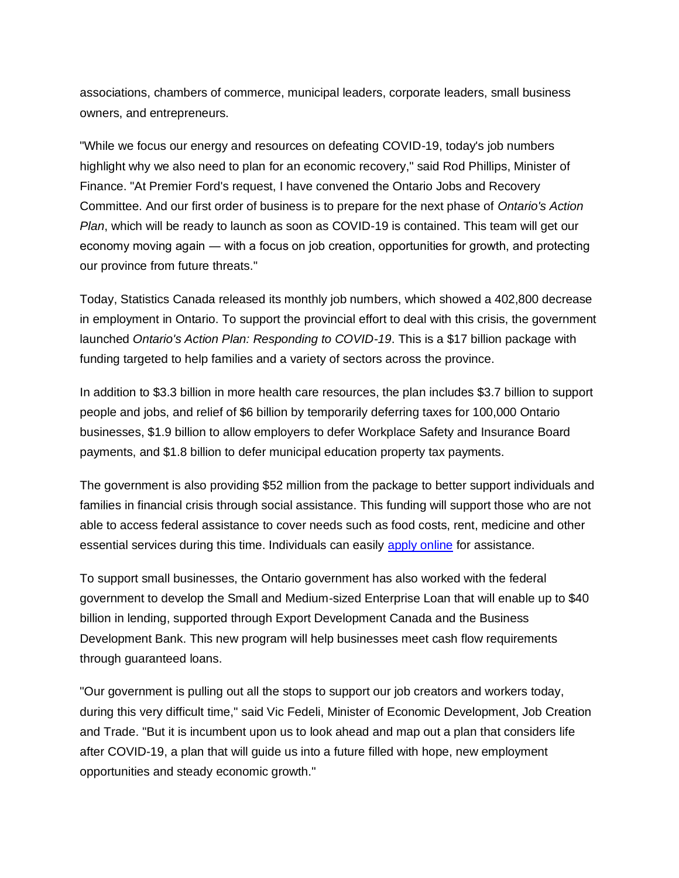associations, chambers of commerce, municipal leaders, corporate leaders, small business owners, and entrepreneurs.

"While we focus our energy and resources on defeating COVID-19, today's job numbers highlight why we also need to plan for an economic recovery," said Rod Phillips, Minister of Finance. "At Premier Ford's request, I have convened the Ontario Jobs and Recovery Committee. And our first order of business is to prepare for the next phase of *Ontario's Action Plan*, which will be ready to launch as soon as COVID-19 is contained. This team will get our economy moving again ― with a focus on job creation, opportunities for growth, and protecting our province from future threats."

Today, Statistics Canada released its monthly job numbers, which showed a 402,800 decrease in employment in Ontario. To support the provincial effort to deal with this crisis, the government launched *Ontario's Action Plan: Responding to COVID-19*. This is a \$17 billion package with funding targeted to help families and a variety of sectors across the province.

In addition to \$3.3 billion in more health care resources, the plan includes \$3.7 billion to support people and jobs, and relief of \$6 billion by temporarily deferring taxes for 100,000 Ontario businesses, \$1.9 billion to allow employers to defer Workplace Safety and Insurance Board payments, and \$1.8 billion to defer municipal education property tax payments.

The government is also providing \$52 million from the package to better support individuals and families in financial crisis through social assistance. This funding will support those who are not able to access federal assistance to cover needs such as food costs, rent, medicine and other essential services during this time. Individuals can easily [apply online](https://www.ontario.ca/page/apply-emergency-assistance) for assistance.

To support small businesses, the Ontario government has also worked with the federal government to develop the Small and Medium-sized Enterprise Loan that will enable up to \$40 billion in lending, supported through Export Development Canada and the Business Development Bank. This new program will help businesses meet cash flow requirements through guaranteed loans.

"Our government is pulling out all the stops to support our job creators and workers today, during this very difficult time," said Vic Fedeli, Minister of Economic Development, Job Creation and Trade. "But it is incumbent upon us to look ahead and map out a plan that considers life after COVID-19, a plan that will guide us into a future filled with hope, new employment opportunities and steady economic growth."